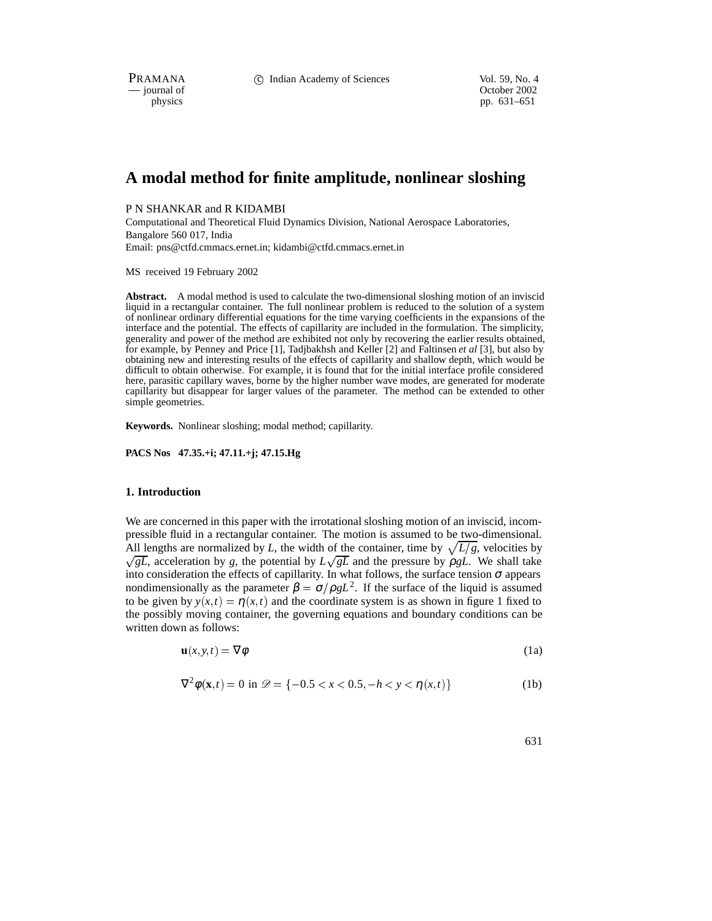PRAMANA 
compared in the C Indian Academy of Sciences Vol. 59, No. 4<br>
cournal of Cotober 2002

physics<br>
physics<br>
pp. 631–651 pp. 631–651

# **A modal method for finite amplitude, nonlinear sloshing**

### P N SHANKAR and R KIDAMBI

Computational and Theoretical Fluid Dynamics Division, National Aerospace Laboratories, Bangalore 560 017, India Email: pns@ctfd.cmmacs.ernet.in; kidambi@ctfd.cmmacs.ernet.in

MS received 19 February 2002

**Abstract.** A modal method is used to calculate the two-dimensional sloshing motion of an inviscid liquid in a rectangular container. The full nonlinear problem is reduced to the solution of a system of nonlinear ordinary differential equations for the time varying coefficients in the expansions of the interface and the potential. The effects of capillarity are included in the formulation. The simplicity, generality and power of the method are exhibited not only by recovering the earlier results obtained, for example, by Penney and Price [1], Tadjbakhsh and Keller [2] and Faltinsen *et al* [3], but also by obtaining new and interesting results of the effects of capillarity and shallow depth, which would be difficult to obtain otherwise. For example, it is found that for the initial interface profile considered here, parasitic capillary waves, borne by the higher number wave modes, are generated for moderate capillarity but disappear for larger values of the parameter. The method can be extended to other simple geometries.

**Keywords.** Nonlinear sloshing; modal method; capillarity.

**PACS Nos 47.35.+i; 47.11.+j; 47.15.Hg**

## **1. Introduction**

We are concerned in this paper with the irrotational sloshing motion of an inviscid, incompressible fluid in a rectangular container. The motion is assumed to be two-dimensional. All lengths are normalized by *L*, the width of the container, time by  $\sqrt{L/g}$ , velocities by  $\sqrt{gL}$ , acceleration by *g*, the potential by  $L\sqrt{gL}$  and the pressure by  $\rho gL$ . We shall take into consideration the effects of capillarity. In what follows, the surface tension  $\sigma$  appears nondimensionally as the parameter  $\beta = \sigma / \rho g L^2$ . If the surface of the liquid is assumed to be given by  $y(x,t) = \eta(x,t)$  and the coordinate system is as shown in figure 1 fixed to the possibly moving container, the governing equations and boundary conditions can be written down as follows:

$$
\mathbf{u}(x, y, t) = \nabla \phi \tag{1a}
$$

$$
\nabla^2 \phi(\mathbf{x}, t) = 0 \text{ in } \mathcal{D} = \{-0.5 < x < 0.5, -h < y < \eta(x, t)\}\tag{1b}
$$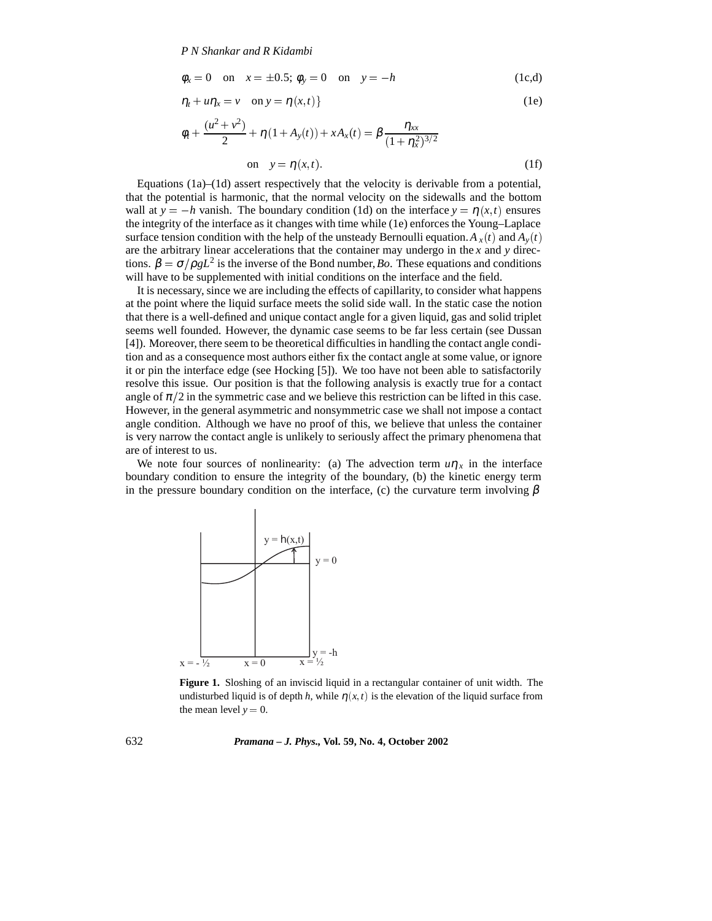$$
\phi_x = 0
$$
 on  $x = \pm 0.5$ ;  $\phi_y = 0$  on  $y = -h$  (1c,d)

$$
\eta_t + u\eta_x = v \quad \text{on } y = \eta(x, t) \tag{1e}
$$

$$
\phi_t + \frac{(u^2 + v^2)}{2} + \eta (1 + A_y(t)) + xA_x(t) = \beta \frac{\eta_{xx}}{(1 + \eta_x^2)^{3/2}}
$$
  
on  $y = \eta (x, t).$  (1f)

Equations  $(1a)$ – $(1d)$  assert respectively that the velocity is derivable from a potential, that the potential is harmonic, that the normal velocity on the sidewalls and the bottom wall at  $y = -h$  vanish. The boundary condition (1d) on the interface  $y = \eta(x,t)$  ensures the integrity of the interface as it changes with time while (1e) enforces the Young–Laplace surface tension condition with the help of the unsteady Bernoulli equation.  $A_x(t)$  and  $A_y(t)$ are the arbitrary linear accelerations that the container may undergo in the *x* and *y* directions.  $\beta = \sigma / \rho g L^2$  is the inverse of the Bond number, *Bo*. These equations and conditions will have to be supplemented with initial conditions on the interface and the field.

It is necessary, since we are including the effects of capillarity, to consider what happens at the point where the liquid surface meets the solid side wall. In the static case the notion that there is a well-defined and unique contact angle for a given liquid, gas and solid triplet seems well founded. However, the dynamic case seems to be far less certain (see Dussan [4]). Moreover, there seem to be theoretical difficulties in handling the contact angle condition and as a consequence most authors either fix the contact angle at some value, or ignore it or pin the interface edge (see Hocking [5]). We too have not been able to satisfactorily resolve this issue. Our position is that the following analysis is exactly true for a contact angle of  $\pi/2$  in the symmetric case and we believe this restriction can be lifted in this case. However, in the general asymmetric and nonsymmetric case we shall not impose a contact angle condition. Although we have no proof of this, we believe that unless the container is very narrow the contact angle is unlikely to seriously affect the primary phenomena that are of interest to us.

We note four sources of nonlinearity: (a) The advection term  $u\eta_x$  in the interface boundary condition to ensure the integrity of the boundary, (b) the kinetic energy term in the pressure boundary condition on the interface, (c) the curvature term involving  $\beta$ 



**Figure 1.** Sloshing of an inviscid liquid in a rectangular container of unit width. The undisturbed liquid is of depth *h*, while  $\eta(x,t)$  is the elevation of the liquid surface from the mean level  $y = 0$ .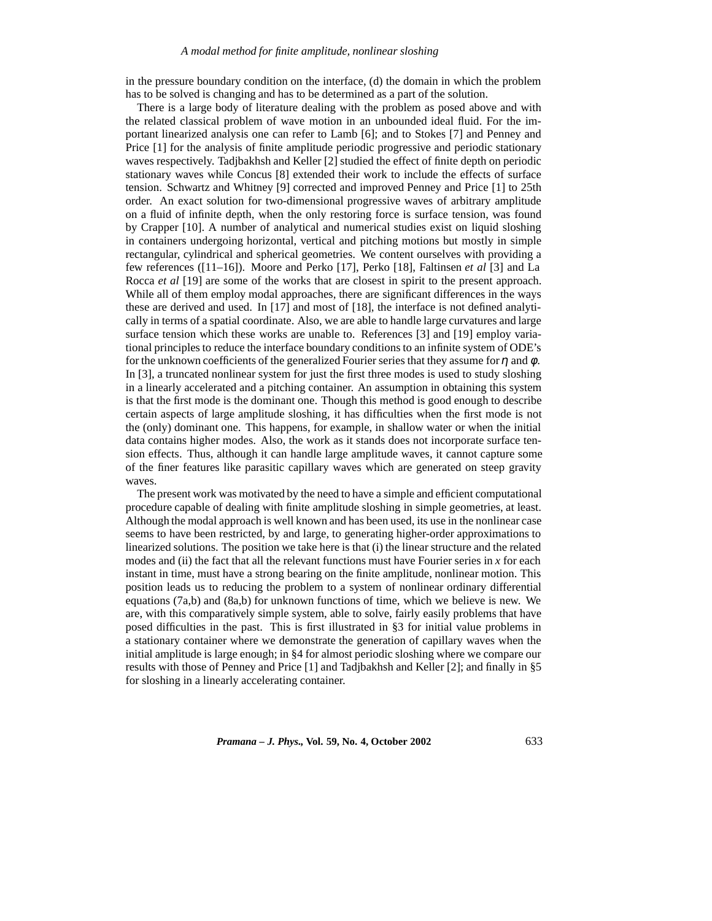in the pressure boundary condition on the interface, (d) the domain in which the problem has to be solved is changing and has to be determined as a part of the solution.

There is a large body of literature dealing with the problem as posed above and with the related classical problem of wave motion in an unbounded ideal fluid. For the important linearized analysis one can refer to Lamb [6]; and to Stokes [7] and Penney and Price [1] for the analysis of finite amplitude periodic progressive and periodic stationary waves respectively. Tadjbakhsh and Keller [2] studied the effect of finite depth on periodic stationary waves while Concus [8] extended their work to include the effects of surface tension. Schwartz and Whitney [9] corrected and improved Penney and Price [1] to 25th order. An exact solution for two-dimensional progressive waves of arbitrary amplitude on a fluid of infinite depth, when the only restoring force is surface tension, was found by Crapper [10]. A number of analytical and numerical studies exist on liquid sloshing in containers undergoing horizontal, vertical and pitching motions but mostly in simple rectangular, cylindrical and spherical geometries. We content ourselves with providing a few references ([11–16]). Moore and Perko [17], Perko [18], Faltinsen *et al* [3] and La Rocca *et al* [19] are some of the works that are closest in spirit to the present approach. While all of them employ modal approaches, there are significant differences in the ways these are derived and used. In [17] and most of [18], the interface is not defined analytically in terms of a spatial coordinate. Also, we are able to handle large curvatures and large surface tension which these works are unable to. References [3] and [19] employ variational principles to reduce the interface boundary conditions to an infinite system of ODE's for the unknown coefficients of the generalized Fourier series that they assume for  $\eta$  and  $\phi$ . In [3], a truncated nonlinear system for just the first three modes is used to study sloshing in a linearly accelerated and a pitching container. An assumption in obtaining this system is that the first mode is the dominant one. Though this method is good enough to describe certain aspects of large amplitude sloshing, it has difficulties when the first mode is not the (only) dominant one. This happens, for example, in shallow water or when the initial data contains higher modes. Also, the work as it stands does not incorporate surface tension effects. Thus, although it can handle large amplitude waves, it cannot capture some of the finer features like parasitic capillary waves which are generated on steep gravity waves.

The present work was motivated by the need to have a simple and efficient computational procedure capable of dealing with finite amplitude sloshing in simple geometries, at least. Although the modal approach is well known and has been used, its use in the nonlinear case seems to have been restricted, by and large, to generating higher-order approximations to linearized solutions. The position we take here is that (i) the linear structure and the related modes and (ii) the fact that all the relevant functions must have Fourier series in *x* for each instant in time, must have a strong bearing on the finite amplitude, nonlinear motion. This position leads us to reducing the problem to a system of nonlinear ordinary differential equations (7a,b) and (8a,b) for unknown functions of time, which we believe is new. We are, with this comparatively simple system, able to solve, fairly easily problems that have posed difficulties in the past. This is first illustrated in §3 for initial value problems in a stationary container where we demonstrate the generation of capillary waves when the initial amplitude is large enough; in §4 for almost periodic sloshing where we compare our results with those of Penney and Price [1] and Tadjbakhsh and Keller [2]; and finally in §5 for sloshing in a linearly accelerating container.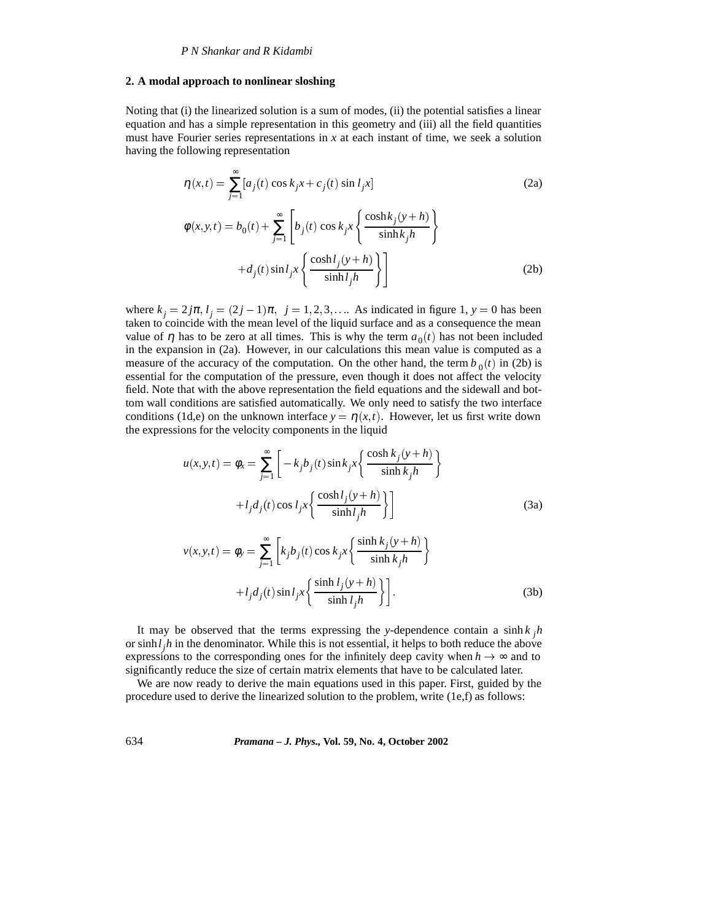### **2. A modal approach to nonlinear sloshing**

Noting that (i) the linearized solution is a sum of modes, (ii) the potential satisfies a linear equation and has a simple representation in this geometry and (iii) all the field quantities must have Fourier series representations in  $x$  at each instant of time, we seek a solution having the following representation

$$
\eta(x,t) = \sum_{j=1}^{\infty} [a_j(t)\cos k_j x + c_j(t)\sin l_j x]
$$
\n(2a)  
\n
$$
\phi(x,y,t) = b_0(t) + \sum_{j=1}^{\infty} \left[ b_j(t)\cos k_j x \left\{ \frac{\cosh k_j(y+h)}{\sinh k_j h} \right\} + d_j(t)\sin l_j x \left\{ \frac{\cosh l_j(y+h)}{\sinh l_j h} \right\} \right]
$$
\n(2b)

where  $k_j = 2j\pi$ ,  $l_j = (2j - 1)\pi$ ,  $j = 1, 2, 3, \dots$ . As indicated in figure 1,  $y = 0$  has been taken to coincide with the mean level of the liquid surface and as a consequence the mean value of  $\eta$  has to be zero at all times. This is why the term  $a_0(t)$  has not been included in the expansion in (2a). However, in our calculations this mean value is computed as a measure of the accuracy of the computation. On the other hand, the term  $b<sub>0</sub>(t)$  in (2b) is essential for the computation of the pressure, even though it does not affect the velocity field. Note that with the above representation the field equations and the sidewall and bottom wall conditions are satisfied automatically. We only need to satisfy the two interface conditions (1d,e) on the unknown interface  $y = \eta(x, t)$ . However, let us first write down the expressions for the velocity components in the liquid

$$
u(x, y, t) = \phi_x = \sum_{j=1}^{\infty} \left[ -k_j b_j(t) \sin k_j x \left\{ \frac{\cosh k_j(y+h)}{\sinh k_j h} \right\} + l_j d_j(t) \cos l_j x \left\{ \frac{\cosh l_j(y+h)}{\sinh l_j h} \right\} \right]
$$
(3a)

$$
v(x, y, t) = \phi_y = \sum_{j=1}^{\infty} \left[ k_j b_j(t) \cos k_j x \left\{ \frac{\sinh k_j(y+h)}{\sinh k_j h} \right\} + l_j d_j(t) \sin l_j x \left\{ \frac{\sinh l_j(y+h)}{\sinh l_j h} \right\} \right].
$$
 (3b)

It may be observed that the terms expressing the *y*-dependence contain a sinh  $k_j h$ or sinh $l_j h$  in the denominator. While this is not essential, it helps to both reduce the above expressions to the corresponding ones for the infinitely deep cavity when  $h \to \infty$  and to significantly reduce the size of certain matrix elements that have to be calculated later.

We are now ready to derive the main equations used in this paper. First, guided by the procedure used to derive the linearized solution to the problem, write (1e,f) as follows: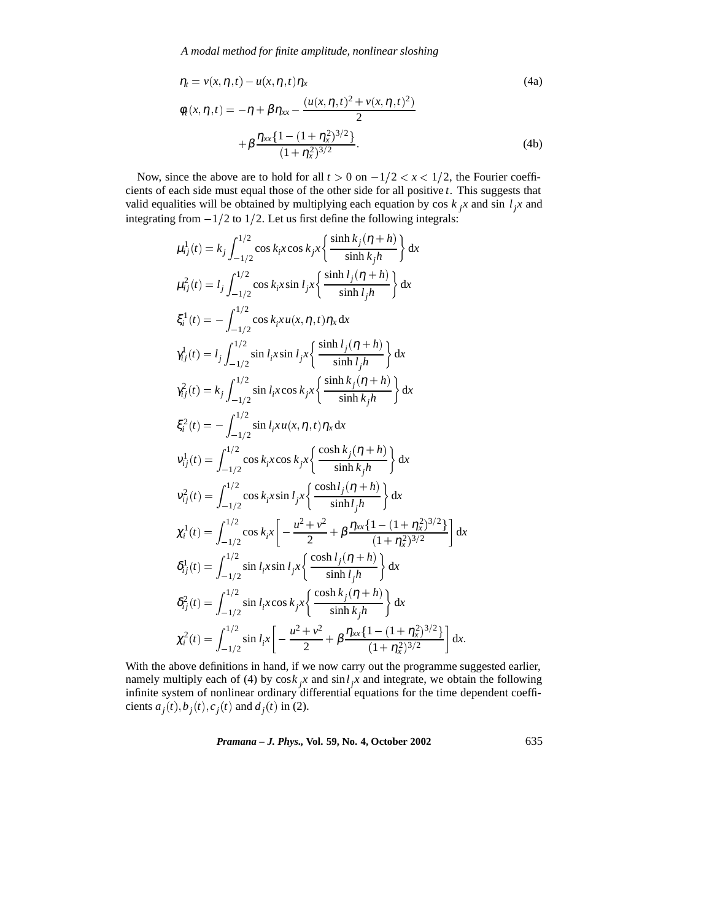*A modal method for finite amplitude, nonlinear sloshing*

$$
\eta_t = v(x, \eta, t) - u(x, \eta, t)\eta_x
$$
\n
$$
\phi_t(x, \eta, t) = -\eta + \beta \eta_{xx} - \frac{(u(x, \eta, t)^2 + v(x, \eta, t)^2)}{2}
$$
\n
$$
+ \beta \frac{\eta_{xx} \{1 - (1 + \eta_x^2)^{3/2}\}}{(1 + \eta_x^2)^{3/2}}.
$$
\n(4b)

Now, since the above are to hold for all  $t > 0$  on  $-1/2 < x < 1/2$ , the Fourier coefficients of each side must equal those of the other side for all positive *t*. This suggests that valid equalities will be obtained by multiplying each equation by cos  $k_j x$  and sin  $l_j x$  and integrating from  $-1/2$  to  $1/2$ . Let us first define the following integrals:

$$
\mu_{ij}^{1}(t) = k_j \int_{-1/2}^{1/2} \cos k_i x \cos k_j x \left\{ \frac{\sinh k_j(n+h)}{\sinh k_j h} \right\} dx
$$
  
\n
$$
\mu_{ij}^{2}(t) = l_j \int_{-1/2}^{1/2} \cos k_i x \sin l_j x \left\{ \frac{\sinh l_j(n+h)}{\sinh l_j h} \right\} dx
$$
  
\n
$$
\xi_i^{1}(t) = -\int_{-1/2}^{1/2} \cos k_i x u(x, \eta, t) \eta_x dx
$$
  
\n
$$
\gamma_{ij}^{1}(t) = l_j \int_{-1/2}^{1/2} \sin l_i x \sin l_j x \left\{ \frac{\sinh l_j(n+h)}{\sinh l_j h} \right\} dx
$$
  
\n
$$
\gamma_{ij}^{2}(t) = k_j \int_{-1/2}^{1/2} \sin l_i x \cos k_j x \left\{ \frac{\sinh k_j(n+h)}{\sinh k_j h} \right\} dx
$$
  
\n
$$
\xi_i^{2}(t) = -\int_{-1/2}^{1/2} \sin l_i x u(x, \eta, t) \eta_x dx
$$
  
\n
$$
v_{ij}^{1}(t) = \int_{-1/2}^{1/2} \cos k_i x \cos k_j x \left\{ \frac{\cosh k_j(n+h)}{\sinh k_j h} \right\} dx
$$
  
\n
$$
v_{ij}^{2}(t) = \int_{-1/2}^{1/2} \cos k_i x \cos k_j x \left\{ \frac{\cosh l_j(n+h)}{\sinh l_j h} \right\} dx
$$
  
\n
$$
\chi_i^{1}(t) = \int_{-1/2}^{1/2} \cos k_i x \sin l_j x \left\{ \frac{\cosh l_j(n+h)}{\sinh l_j h} \right\} dx
$$
  
\n
$$
\chi_i^{1}(t) = \int_{-1/2}^{1/2} \cos k_i x \left[ -\frac{u^2 + v^2}{2} + \beta \frac{\eta_{xx} \{ 1 - (1 + \eta_x^2)^{3/2} \}}{(1 + \eta_x^2)^{3/2}} \right] dx
$$
  
\n
$$
\delta_{ij}^{2}(t) = \int_{-1/2}^{1/2} \sin l_i x \cos k_j x \left\{ \frac{\cosh l_j(n+h)}{\sinh
$$

With the above definitions in hand, if we now carry out the programme suggested earlier, namely multiply each of (4) by  $\cos k_j x$  and  $\sin l_j x$  and integrate, we obtain the following infinite system of nonlinear ordinary differential equations for the time dependent coefficients  $a_j(t)$ ,  $b_j(t)$ ,  $c_j(t)$  and  $d_j(t)$  in (2).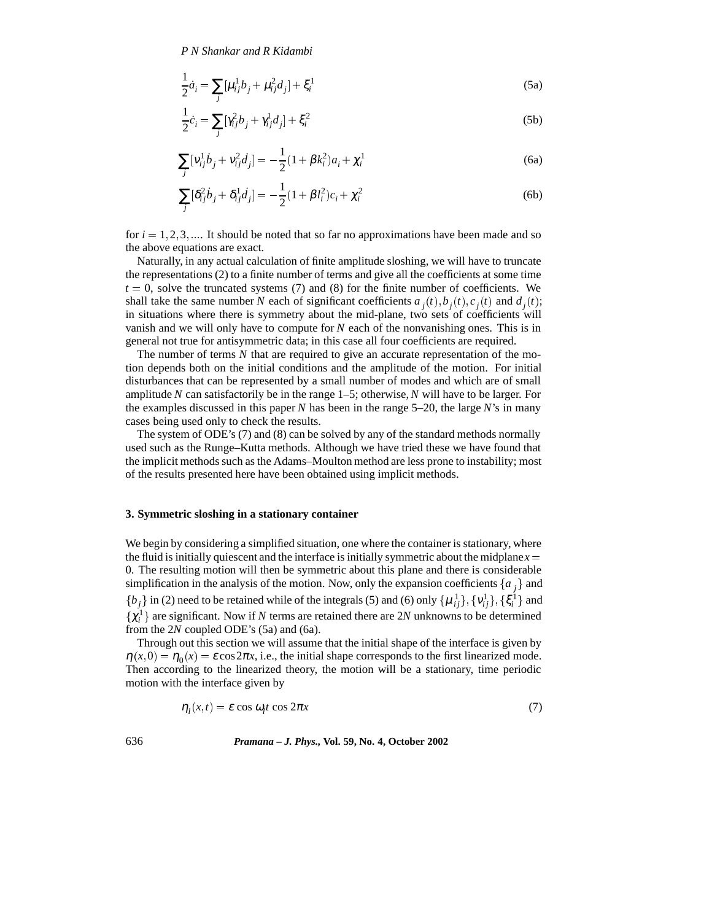$$
\frac{1}{2}\dot{a}_i = \sum_j [\mu_{ij}^1 b_j + \mu_{ij}^2 d_j] + \xi_i^1
$$
 (5a)

$$
\frac{1}{2}\dot{c}_i = \sum_j [\gamma_{ij}^2 b_j + \gamma_{ij}^1 d_j] + \xi_i^2
$$
\n(5b)

$$
\sum_{j} [\nu_{ij}^{1} \dot{b}_{j} + \nu_{ij}^{2} \dot{d}_{j}] = -\frac{1}{2} (1 + \beta k_{i}^{2}) a_{i} + \chi_{i}^{1}
$$
\n(6a)

$$
\sum_{j} [\delta_{ij}^2 \dot{b}_j + \delta_{ij}^1 \dot{d}_j] = -\frac{1}{2} (1 + \beta l_i^2) c_i + \chi_i^2
$$
 (6b)

for  $i = 1, 2, 3, \dots$  It should be noted that so far no approximations have been made and so the above equations are exact.

Naturally, in any actual calculation of finite amplitude sloshing, we will have to truncate the representations (2) to a finite number of terms and give all the coefficients at some time  $t = 0$ , solve the truncated systems (7) and (8) for the finite number of coefficients. We shall take the same number *N* each of significant coefficients  $a_j(t)$ ,  $b_j(t)$ ,  $c_j(t)$  and  $d_j(t)$ ; in situations where there is symmetry about the mid-plane, two sets of coefficients will vanish and we will only have to compute for *N* each of the nonvanishing ones. This is in general not true for antisymmetric data; in this case all four coefficients are required.

The number of terms N that are required to give an accurate representation of the motion depends both on the initial conditions and the amplitude of the motion. For initial disturbances that can be represented by a small number of modes and which are of small amplitude *N* can satisfactorily be in the range 1–5; otherwise,*N* will have to be larger. For the examples discussed in this paper  $N$  has been in the range 5–20, the large  $N$ 's in many cases being used only to check the results.

The system of ODE's (7) and (8) can be solved by any of the standard methods normally used such as the Runge–Kutta methods. Although we have tried these we have found that the implicit methods such as the Adams–Moulton method are less prone to instability; most of the results presented here have been obtained using implicit methods.

#### **3. Symmetric sloshing in a stationary container**

We begin by considering a simplified situation, one where the container is stationary, where the fluid is initially quiescent and the interface is initially symmetric about the midplane $x =$ 0. The resulting motion will then be symmetric about this plane and there is considerable simplification in the analysis of the motion. Now, only the expansion coefficients  $\{a_i\}$  and  $\{b_j\}$  in (2) need to be retained while of the integrals (5) and (6) only  $\{\mu_{ij}^1\}, \{v_{ij}^1\}, \{\xi_i^1\}$  and  $\{\chi_i^1\}$  are significant. Now if *N* terms are retained there are 2*N* unknowns to be determined from the 2*N* coupled ODE's (5a) and (6a).

Through out this section we will assume that the initial shape of the interface is given by  $\eta(x,0) = \eta_0(x) = \varepsilon \cos 2\pi x$ , i.e., the initial shape corresponds to the first linearized mode. Then according to the linearized theory, the motion will be a stationary, time periodic motion with the interface given by

$$
\eta_l(x,t) = \varepsilon \cos \omega_l t \cos 2\pi x \tag{7}
$$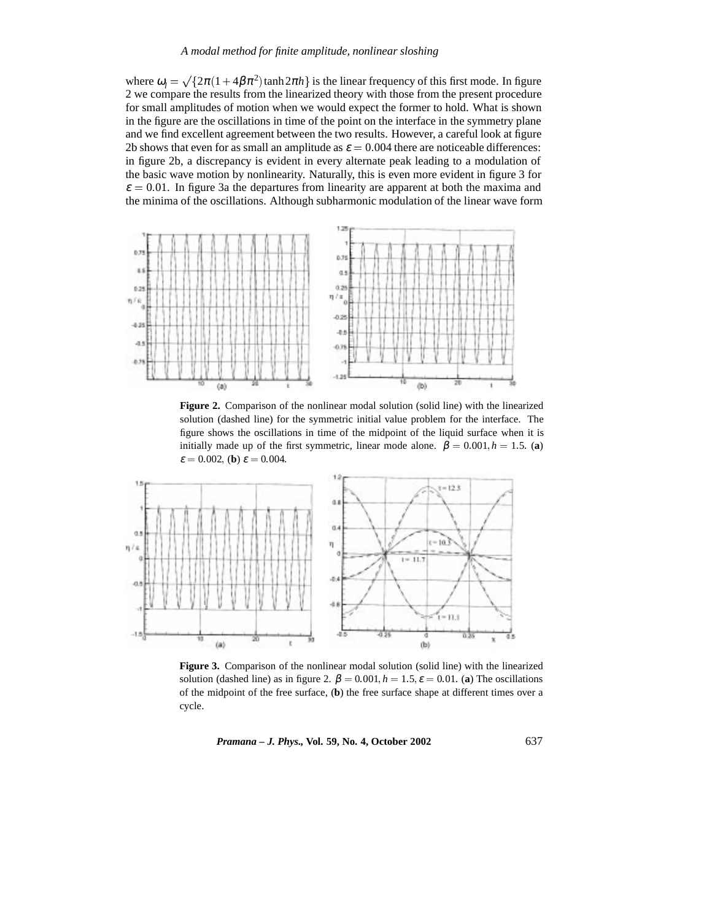where  $\omega_l = \sqrt{2\pi (1 + 4\beta \pi^2)} \tanh 2\pi h$  is the linear frequency of this first mode. In figure 2 we compare the results from the linearized theory with those from the present procedure for small amplitudes of motion when we would expect the former to hold. What is shown in the figure are the oscillations in time of the point on the interface in the symmetry plane and we find excellent agreement between the two results. However, a careful look at figure 2b shows that even for as small an amplitude as  $\varepsilon = 0.004$  there are noticeable differences: in figure 2b, a discrepancy is evident in every alternate peak leading to a modulation of the basic wave motion by nonlinearity. Naturally, this is even more evident in figure 3 for  $\epsilon = 0.01$ . In figure 3a the departures from linearity are apparent at both the maxima and the minima of the oscillations. Although subharmonic modulation of the linear wave form



**Figure 2.** Comparison of the nonlinear modal solution (solid line) with the linearized solution (dashed line) for the symmetric initial value problem for the interface. The figure shows the oscillations in time of the midpoint of the liquid surface when it is initially made up of the first symmetric, linear mode alone.  $\beta = 0.001, h = 1.5$ . (a)  $\varepsilon = 0.002$ , **(b)**  $\varepsilon = 0.004$ .



**Figure 3.** Comparison of the nonlinear modal solution (solid line) with the linearized solution (dashed line) as in figure 2.  $\beta = 0.001$ ,  $h = 1.5$ ,  $\varepsilon = 0.01$ . (a) The oscillations of the midpoint of the free surface, (**b**) the free surface shape at different times over a cycle.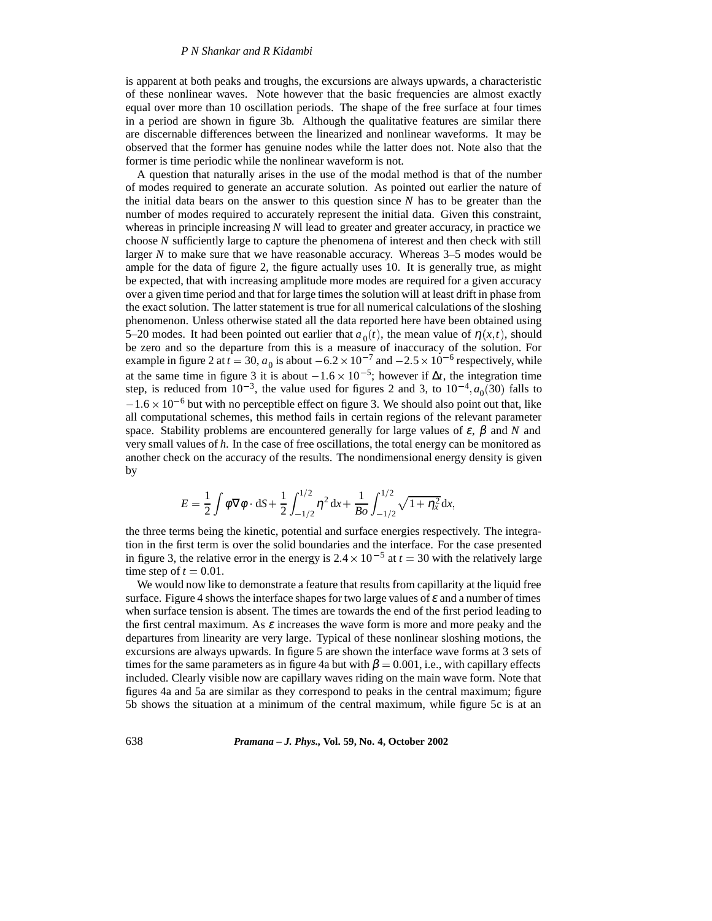is apparent at both peaks and troughs, the excursions are always upwards, a characteristic of these nonlinear waves. Note however that the basic frequencies are almost exactly equal over more than 10 oscillation periods. The shape of the free surface at four times in a period are shown in figure 3b. Although the qualitative features are similar there are discernable differences between the linearized and nonlinear waveforms. It may be observed that the former has genuine nodes while the latter does not. Note also that the former is time periodic while the nonlinear waveform is not.

A question that naturally arises in the use of the modal method is that of the number of modes required to generate an accurate solution. As pointed out earlier the nature of the initial data bears on the answer to this question since *N* has to be greater than the number of modes required to accurately represent the initial data. Given this constraint, whereas in principle increasing *N* will lead to greater and greater accuracy, in practice we choose *N* sufficiently large to capture the phenomena of interest and then check with still larger *N* to make sure that we have reasonable accuracy. Whereas 3–5 modes would be ample for the data of figure 2, the figure actually uses 10. It is generally true, as might be expected, that with increasing amplitude more modes are required for a given accuracy over a given time period and that for large times the solution will at least drift in phase from the exact solution. The latter statement is true for all numerical calculations of the sloshing phenomenon. Unless otherwise stated all the data reported here have been obtained using 5–20 modes. It had been pointed out earlier that  $a_0(t)$ , the mean value of  $\eta(x,t)$ , should be zero and so the departure from this is a measure of inaccuracy of the solution. For example in figure 2 at  $t = 30$ ,  $a_0$  is about  $-6.2 \times 10^{-7}$  and  $-2.5 \times 10^{-6}$  respectively, while at the same time in figure 3 it is about  $-1.6 \times 10^{-5}$ ; however if  $\Delta t$ , the integration time step, is reduced from  $10^{-3}$ , the value used for figures 2 and 3, to  $10^{-4}$ ,  $a_0(30)$  falls to  $-1.6 \times 10^{-6}$  but with no perceptible effect on figure 3. We should also point out that, like all computational schemes, this method fails in certain regions of the relevant parameter space. Stability problems are encountered generally for large values of  $\varepsilon$ ,  $\beta$  and *N* and very small values of *h*. In the case of free oscillations, the total energy can be monitored as another check on the accuracy of the results. The nondimensional energy density is given by

$$
E = \frac{1}{2} \int \phi \nabla \phi \cdot dS + \frac{1}{2} \int_{-1/2}^{1/2} \eta^2 dx + \frac{1}{B_o} \int_{-1/2}^{1/2} \sqrt{1 + \eta_x^2} dx,
$$

the three terms being the kinetic, potential and surface energies respectively. The integration in the first term is over the solid boundaries and the interface. For the case presented in figure 3, the relative error in the energy is  $2.4 \times 10^{-5}$  at  $t = 30$  with the relatively large time step of  $t = 0.01$ .

We would now like to demonstrate a feature that results from capillarity at the liquid free surface. Figure 4 shows the interface shapes for two large values of  $\varepsilon$  and a number of times when surface tension is absent. The times are towards the end of the first period leading to the first central maximum. As  $\varepsilon$  increases the wave form is more and more peaky and the departures from linearity are very large. Typical of these nonlinear sloshing motions, the excursions are always upwards. In figure 5 are shown the interface wave forms at 3 sets of times for the same parameters as in figure 4a but with  $\beta = 0.001$ , i.e., with capillary effects included. Clearly visible now are capillary waves riding on the main wave form. Note that figures 4a and 5a are similar as they correspond to peaks in the central maximum; figure 5b shows the situation at a minimum of the central maximum, while figure 5c is at an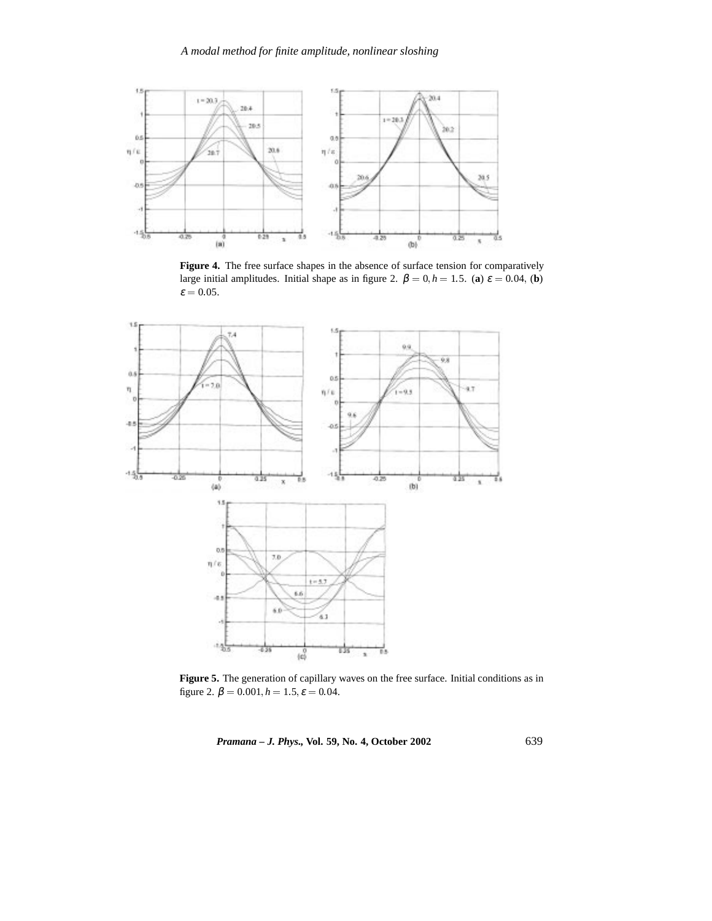

**Figure 4.** The free surface shapes in the absence of surface tension for comparatively large initial amplitudes. Initial shape as in figure 2.  $\beta = 0, h = 1.5$ . (**a**)  $\varepsilon = 0.04$ , (**b**)  $\varepsilon = 0.05$ .



**Figure 5.** The generation of capillary waves on the free surface. Initial conditions as in figure 2.  $\beta = 0.001, h = 1.5, \varepsilon = 0.04$ .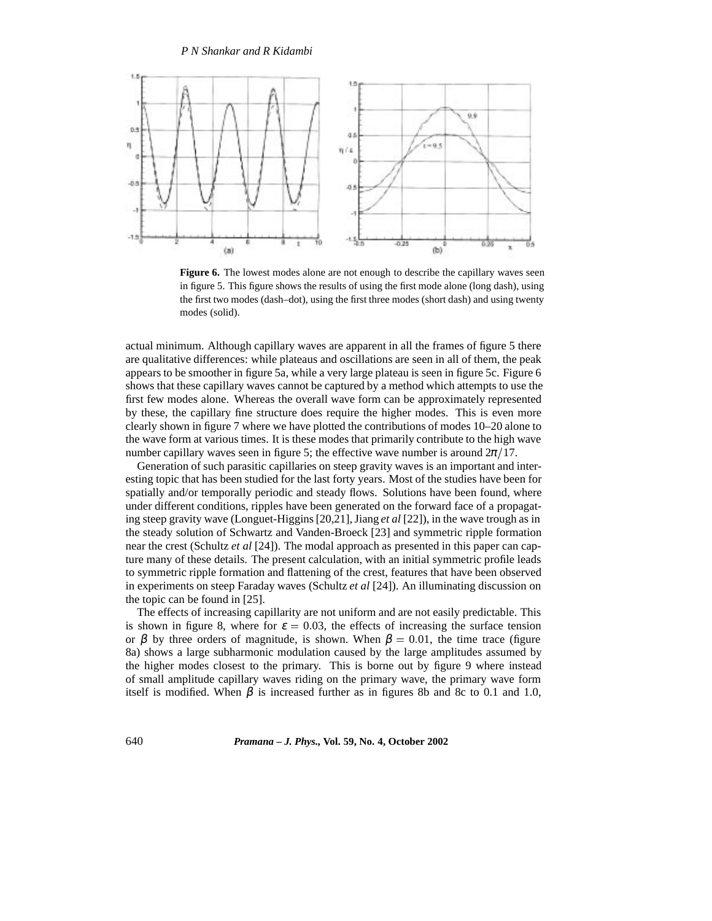

**Figure 6.** The lowest modes alone are not enough to describe the capillary waves seen in figure 5. This figure shows the results of using the first mode alone (long dash), using the first two modes (dash–dot), using the first three modes (short dash) and using twenty modes (solid).

actual minimum. Although capillary waves are apparent in all the frames of figure 5 there are qualitative differences: while plateaus and oscillations are seen in all of them, the peak appears to be smoother in figure 5a, while a very large plateau is seen in figure 5c. Figure 6 shows that these capillary waves cannot be captured by a method which attempts to use the first few modes alone. Whereas the overall wave form can be approximately represented by these, the capillary fine structure does require the higher modes. This is even more clearly shown in figure 7 where we have plotted the contributions of modes 10–20 alone to the wave form at various times. It is these modes that primarily contribute to the high wave number capillary waves seen in figure 5; the effective wave number is around  $2\pi/17$ .

Generation of such parasitic capillaries on steep gravity waves is an important and interesting topic that has been studied for the last forty years. Most of the studies have been for spatially and/or temporally periodic and steady flows. Solutions have been found, where under different conditions, ripples have been generated on the forward face of a propagating steep gravity wave (Longuet-Higgins [20,21], Jiang *et al* [22]), in the wave trough as in the steady solution of Schwartz and Vanden-Broeck [23] and symmetric ripple formation near the crest (Schultz *et al* [24]). The modal approach as presented in this paper can capture many of these details. The present calculation, with an initial symmetric profile leads to symmetric ripple formation and flattening of the crest, features that have been observed in experiments on steep Faraday waves (Schultz *et al* [24]). An illuminating discussion on the topic can be found in [25].

The effects of increasing capillarity are not uniform and are not easily predictable. This is shown in figure 8, where for  $\varepsilon = 0.03$ , the effects of increasing the surface tension or  $\beta$  by three orders of magnitude, is shown. When  $\beta = 0.01$ , the time trace (figure 8a) shows a large subharmonic modulation caused by the large amplitudes assumed by the higher modes closest to the primary. This is borne out by figure 9 where instead of small amplitude capillary waves riding on the primary wave, the primary wave form itself is modified. When  $\beta$  is increased further as in figures 8b and 8c to 0.1 and 1.0,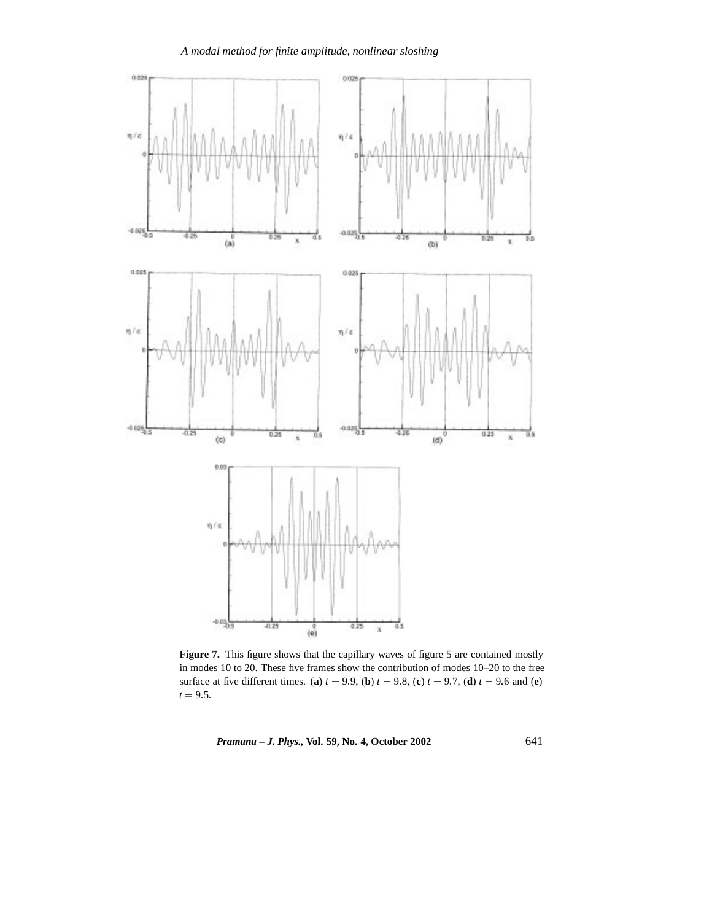

Figure 7. This figure shows that the capillary waves of figure 5 are contained mostly in modes 10 to 20. These five frames show the contribution of modes 10–20 to the free surface at five different times. (**a**)  $t = 9.9$ , (**b**)  $t = 9.8$ , (**c**)  $t = 9.7$ , (**d**)  $t = 9.6$  and (**e**)  $t = 9.5$ .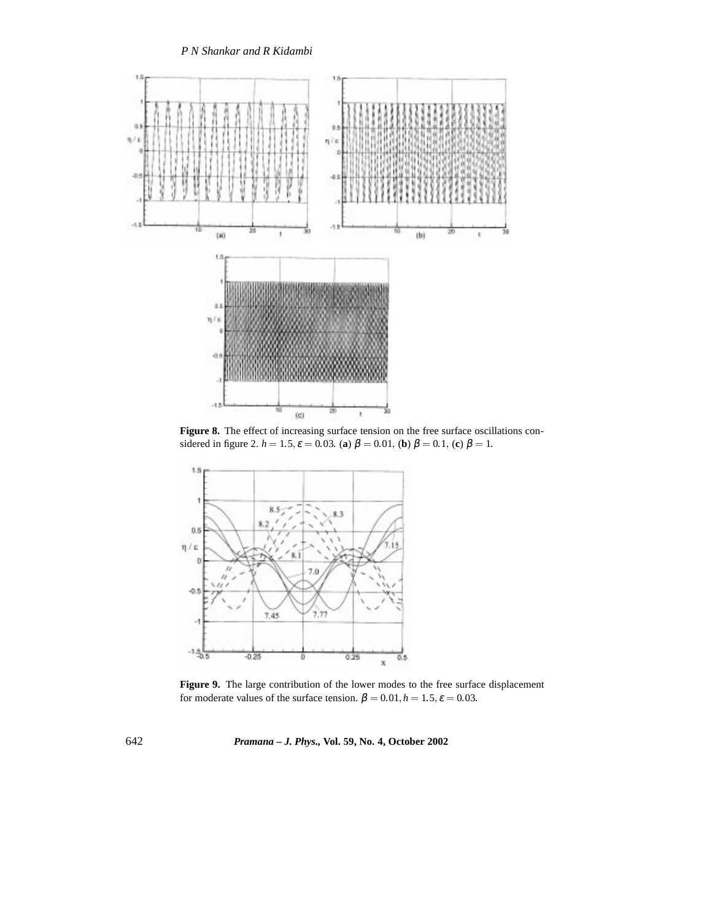

**Figure 8.** The effect of increasing surface tension on the free surface oscillations considered in figure 2. *h* = 1.5,  $\varepsilon$  = 0.03. (**a**)  $\beta$  = 0.01, (**b**)  $\beta$  = 0.1, (**c**)  $\beta$  = 1.



**Figure 9.** The large contribution of the lower modes to the free surface displacement for moderate values of the surface tension.  $\beta = 0.01, h = 1.5, \varepsilon = 0.03$ .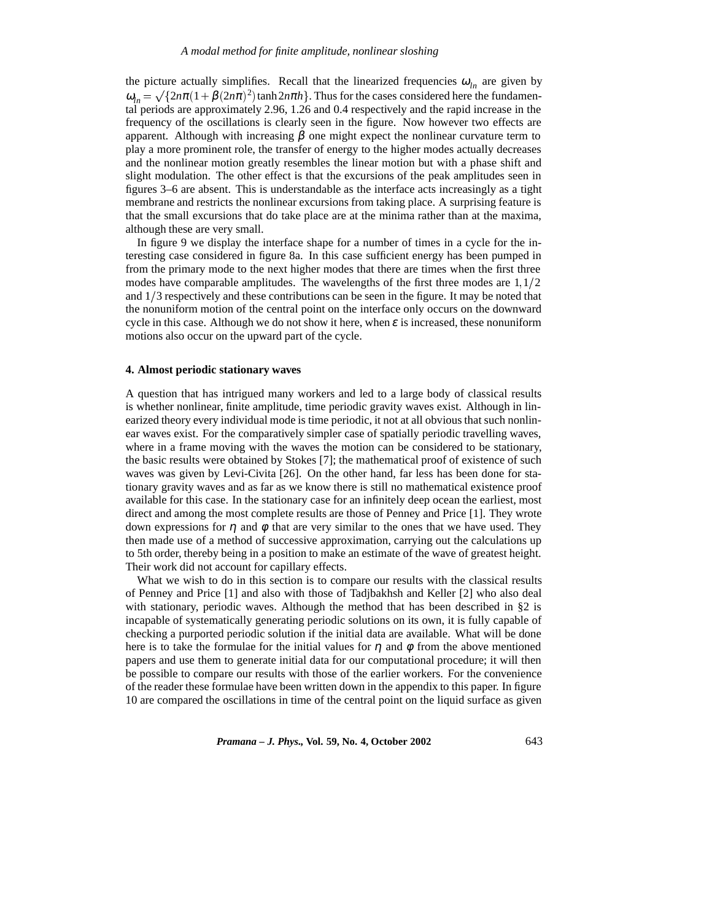the picture actually simplifies. Recall that the linearized frequencies  $\omega_{ln}$  are given by  $\omega_{ln} = \sqrt{\{2n\pi (1+\beta (2n\pi)^2)\tanh 2n\pi h\}}$ . Thus for the cases considered here the fundamental periods are approximately 2.96, 1.26 and 0.4 respectively and the rapid increase in the frequency of the oscillations is clearly seen in the figure. Now however two effects are apparent. Although with increasing  $\beta$  one might expect the nonlinear curvature term to play a more prominent role, the transfer of energy to the higher modes actually decreases and the nonlinear motion greatly resembles the linear motion but with a phase shift and slight modulation. The other effect is that the excursions of the peak amplitudes seen in figures 3–6 are absent. This is understandable as the interface acts increasingly as a tight membrane and restricts the nonlinear excursions from taking place. A surprising feature is that the small excursions that do take place are at the minima rather than at the maxima, although these are very small.

In figure 9 we display the interface shape for a number of times in a cycle for the interesting case considered in figure 8a. In this case sufficient energy has been pumped in from the primary mode to the next higher modes that there are times when the first three modes have comparable amplitudes. The wavelengths of the first three modes are  $1,1/2$ and  $1/3$  respectively and these contributions can be seen in the figure. It may be noted that the nonuniform motion of the central point on the interface only occurs on the downward cycle in this case. Although we do not show it here, when  $\varepsilon$  is increased, these nonuniform motions also occur on the upward part of the cycle.

#### **4. Almost periodic stationary waves**

A question that has intrigued many workers and led to a large body of classical results is whether nonlinear, finite amplitude, time periodic gravity waves exist. Although in linearized theory every individual mode is time periodic, it not at all obvious that such nonlinear waves exist. For the comparatively simpler case of spatially periodic travelling waves, where in a frame moving with the waves the motion can be considered to be stationary, the basic results were obtained by Stokes [7]; the mathematical proof of existence of such waves was given by Levi-Civita [26]. On the other hand, far less has been done for stationary gravity waves and as far as we know there is still no mathematical existence proof available for this case. In the stationary case for an infinitely deep ocean the earliest, most direct and among the most complete results are those of Penney and Price [1]. They wrote down expressions for  $\eta$  and  $\phi$  that are very similar to the ones that we have used. They then made use of a method of successive approximation, carrying out the calculations up to 5th order, thereby being in a position to make an estimate of the wave of greatest height. Their work did not account for capillary effects.

What we wish to do in this section is to compare our results with the classical results of Penney and Price [1] and also with those of Tadjbakhsh and Keller [2] who also deal with stationary, periodic waves. Although the method that has been described in §2 is incapable of systematically generating periodic solutions on its own, it is fully capable of checking a purported periodic solution if the initial data are available. What will be done here is to take the formulae for the initial values for  $\eta$  and  $\phi$  from the above mentioned papers and use them to generate initial data for our computational procedure; it will then be possible to compare our results with those of the earlier workers. For the convenience of the reader these formulae have been written down in the appendix to this paper. In figure 10 are compared the oscillations in time of the central point on the liquid surface as given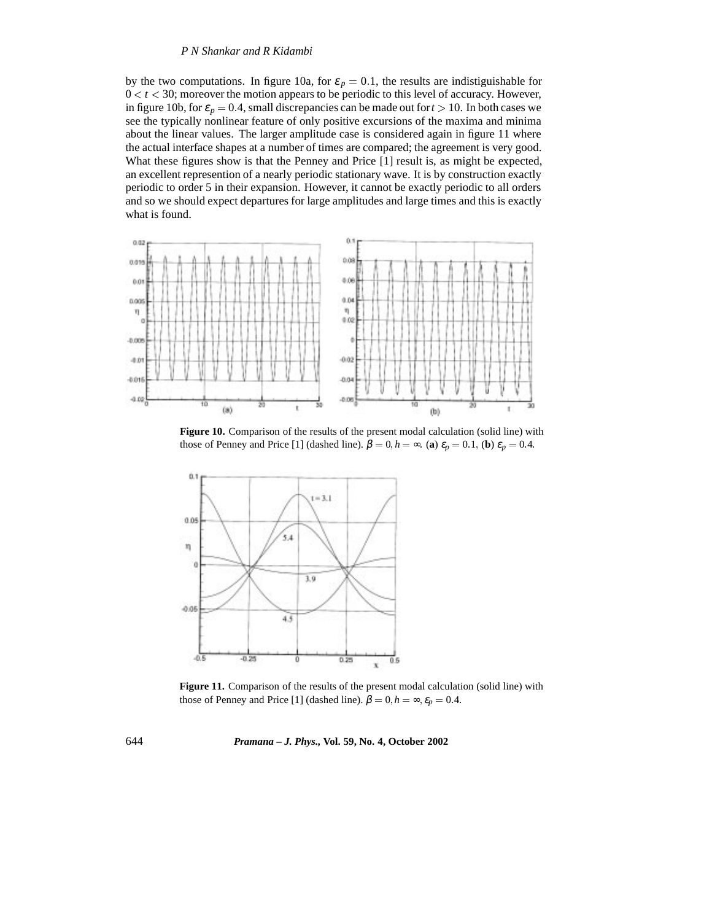by the two computations. In figure 10a, for  $\varepsilon_p = 0.1$ , the results are indistiguishable for  $0 < t < 30$ ; moreover the motion appears to be periodic to this level of accuracy. However, in figure 10b, for  $\varepsilon_p = 0.4$ , small discrepancies can be made out for  $t > 10$ . In both cases we see the typically nonlinear feature of only positive excursions of the maxima and minima about the linear values. The larger amplitude case is considered again in figure 11 where the actual interface shapes at a number of times are compared; the agreement is very good. What these figures show is that the Penney and Price [1] result is, as might be expected, an excellent represention of a nearly periodic stationary wave. It is by construction exactly periodic to order 5 in their expansion. However, it cannot be exactly periodic to all orders and so we should expect departures for large amplitudes and large times and this is exactly what is found.



**Figure 10.** Comparison of the results of the present modal calculation (solid line) with those of Penney and Price [1] (dashed line).  $\beta = 0, h = \infty$ . (a)  $\varepsilon_p = 0.1$ , (b)  $\varepsilon_p = 0.4$ .



**Figure 11.** Comparison of the results of the present modal calculation (solid line) with those of Penney and Price [1] (dashed line).  $\beta = 0, h = \infty, \varepsilon_p = 0.4$ .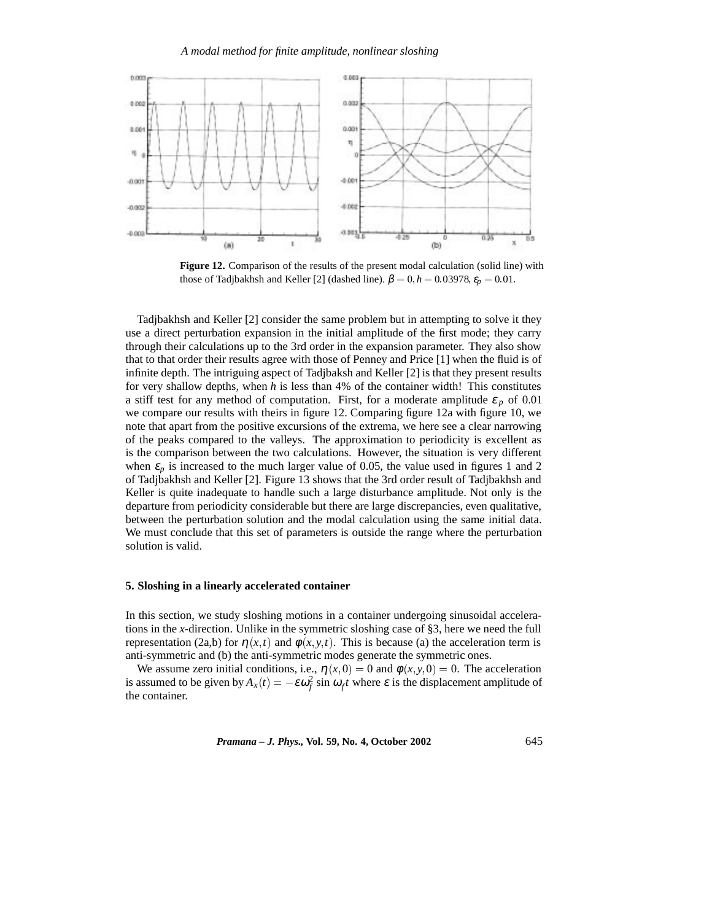

**Figure 12.** Comparison of the results of the present modal calculation (solid line) with those of Tadjbakhsh and Keller [2] (dashed line).  $\beta = 0, h = 0.03978, \varepsilon_p = 0.01$ .

Tadjbakhsh and Keller [2] consider the same problem but in attempting to solve it they use a direct perturbation expansion in the initial amplitude of the first mode; they carry through their calculations up to the 3rd order in the expansion parameter. They also show that to that order their results agree with those of Penney and Price [1] when the fluid is of infinite depth. The intriguing aspect of Tadjbaksh and Keller [2] is that they present results for very shallow depths, when *h* is less than 4% of the container width! This constitutes a stiff test for any method of computation. First, for a moderate amplitude  $\varepsilon_p$  of 0.01 we compare our results with theirs in figure 12. Comparing figure 12a with figure 10, we note that apart from the positive excursions of the extrema, we here see a clear narrowing of the peaks compared to the valleys. The approximation to periodicity is excellent as is the comparison between the two calculations. However, the situation is very different when  $\varepsilon_p$  is increased to the much larger value of 0.05, the value used in figures 1 and 2 of Tadjbakhsh and Keller [2]. Figure 13 shows that the 3rd order result of Tadjbakhsh and Keller is quite inadequate to handle such a large disturbance amplitude. Not only is the departure from periodicity considerable but there are large discrepancies, even qualitative, between the perturbation solution and the modal calculation using the same initial data. We must conclude that this set of parameters is outside the range where the perturbation solution is valid.

#### **5. Sloshing in a linearly accelerated container**

In this section, we study sloshing motions in a container undergoing sinusoidal accelerations in the *x*-direction. Unlike in the symmetric sloshing case of §3, here we need the full representation (2a,b) for  $\eta(x,t)$  and  $\phi(x,y,t)$ . This is because (a) the acceleration term is anti-symmetric and (b) the anti-symmetric modes generate the symmetric ones.

We assume zero initial conditions, i.e.,  $\eta(x,0) = 0$  and  $\phi(x,y,0) = 0$ . The acceleration is assumed to be given by  $A_x(t) = -\varepsilon \omega_f^2 \sin \omega_f t$  where  $\varepsilon$  is the displacement amplitude of the container.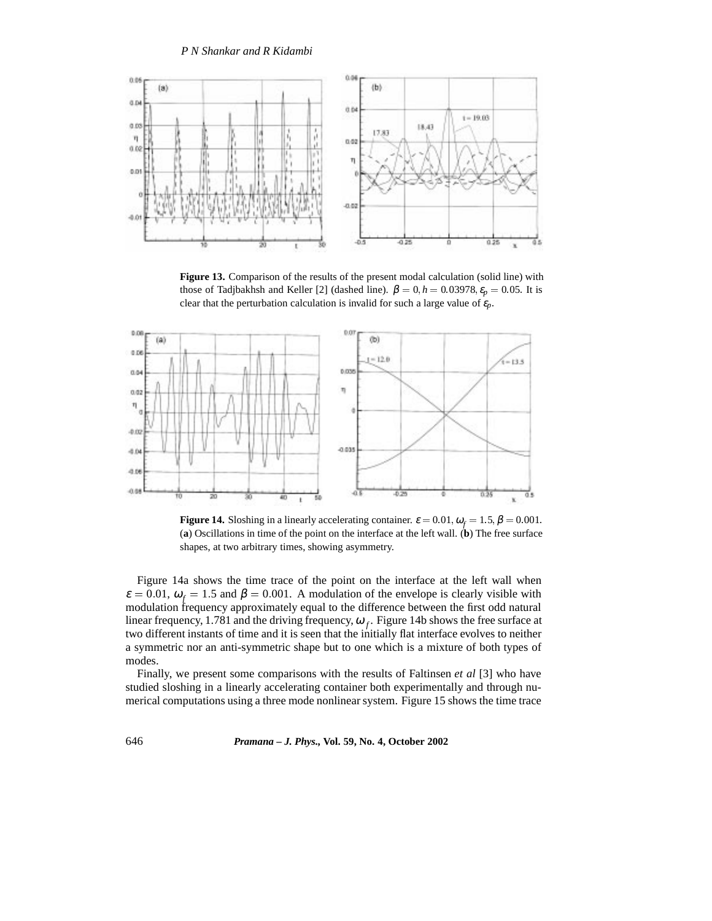

Figure 13. Comparison of the results of the present modal calculation (solid line) with those of Tadjbakhsh and Keller [2] (dashed line).  $\beta = 0, h = 0.03978, \varepsilon_p = 0.05$ . It is clear that the perturbation calculation is invalid for such a large value of  $\varepsilon_p$ .



**Figure 14.** Sloshing in a linearly accelerating container.  $\varepsilon = 0.01, \omega_f = 1.5, \beta = 0.001$ . (**a**) Oscillations in time of the point on the interface at the left wall. (**b**) The free surface shapes, at two arbitrary times, showing asymmetry.

Figure 14a shows the time trace of the point on the interface at the left wall when  $\epsilon = 0.01$ ,  $\omega_f = 1.5$  and  $\beta = 0.001$ . A modulation of the envelope is clearly visible with modulation frequency approximately equal to the difference between the first odd natural linear frequency, 1.781 and the driving frequency,  $\omega_f$ . Figure 14b shows the free surface at two different instants of time and it is seen that the initially flat interface evolves to neither a symmetric nor an anti-symmetric shape but to one which is a mixture of both types of modes.

Finally, we present some comparisons with the results of Faltinsen *et al* [3] who have studied sloshing in a linearly accelerating container both experimentally and through numerical computations using a three mode nonlinear system. Figure 15 shows the time trace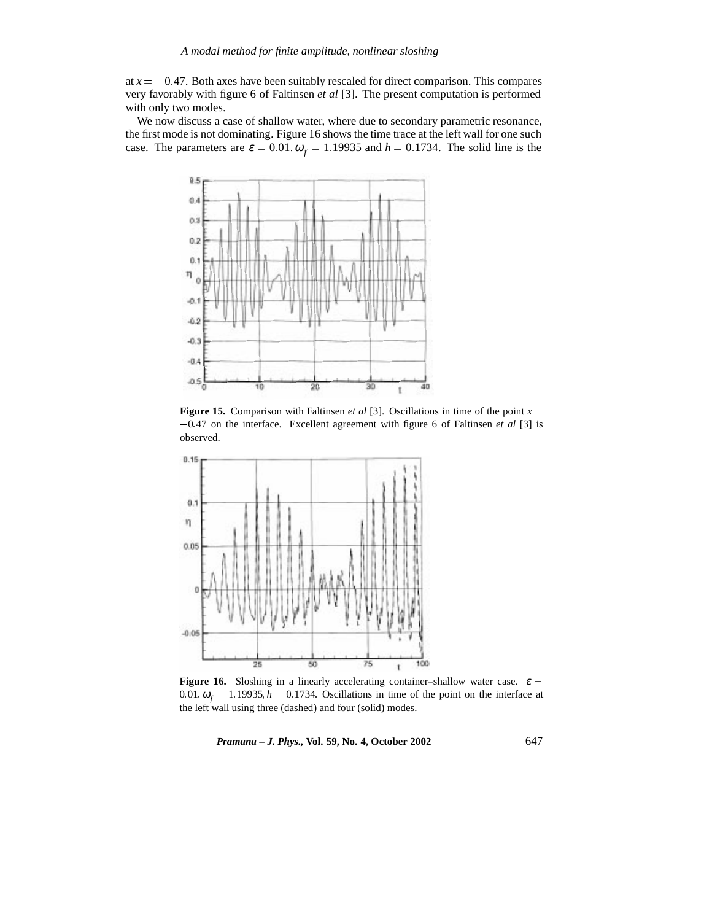at  $x = -0.47$ . Both axes have been suitably rescaled for direct comparison. This compares very favorably with figure 6 of Faltinsen *et al* [3]. The present computation is performed with only two modes.

We now discuss a case of shallow water, where due to secondary parametric resonance, the first mode is not dominating. Figure 16 shows the time trace at the left wall for one such case. The parameters are  $\varepsilon = 0.01$ ,  $\omega_f = 1.19935$  and  $h = 0.1734$ . The solid line is the



**Figure 15.** Comparison with Faltinsen *et al* [3]. Oscillations in time of the point  $x =$ 0:47 on the interface. Excellent agreement with figure 6 of Faltinsen *et al* [3] is observed.



**Figure 16.** Sloshing in a linearly accelerating container-shallow water case.  $\varepsilon$  = 0.01,  $\omega_f = 1.19935$ ,  $h = 0.1734$ . Oscillations in time of the point on the interface at the left wall using three (dashed) and four (solid) modes.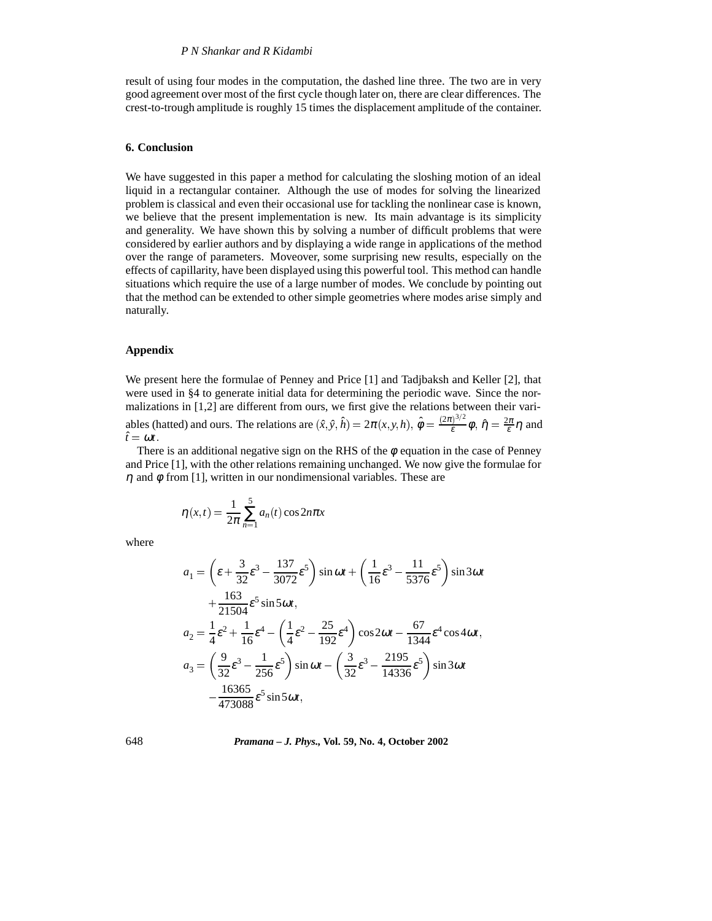result of using four modes in the computation, the dashed line three. The two are in very good agreement over most of the first cycle though later on, there are clear differences. The crest-to-trough amplitude is roughly 15 times the displacement amplitude of the container.

## **6. Conclusion**

We have suggested in this paper a method for calculating the sloshing motion of an ideal liquid in a rectangular container. Although the use of modes for solving the linearized problem is classical and even their occasional use for tackling the nonlinear case is known, we believe that the present implementation is new. Its main advantage is its simplicity and generality. We have shown this by solving a number of difficult problems that were considered by earlier authors and by displaying a wide range in applications of the method over the range of parameters. Moveover, some surprising new results, especially on the effects of capillarity, have been displayed using this powerful tool. This method can handle situations which require the use of a large number of modes. We conclude by pointing out that the method can be extended to other simple geometries where modes arise simply and naturally.

### **Appendix**

We present here the formulae of Penney and Price [1] and Tadjbaksh and Keller [2], that were used in §4 to generate initial data for determining the periodic wave. Since the normalizations in [1,2] are different from ours, we first give the relations between their variables (hatted) and ours. The relations are  $(\hat{x}, \hat{y}, \hat{h}) = 2\pi(x, y, h)$ ,  $\hat{\phi} = \frac{(2\pi)^{3/2}}{\varepsilon} \phi$ ,  $\hat{\eta} = \frac{2\pi}{\varepsilon} \eta$  and  $\hat{t} = \omega t$ .

There is an additional negative sign on the RHS of the  $\phi$  equation in the case of Penney and Price [1], with the other relations remaining unchanged. We now give the formulae for  $\eta$  and  $\phi$  from [1], written in our nondimensional variables. These are

$$
\eta(x,t) = \frac{1}{2\pi} \sum_{n=1}^{5} a_n(t) \cos 2n\pi x
$$

where

$$
a_1 = \left(\varepsilon + \frac{3}{32}\varepsilon^3 - \frac{137}{3072}\varepsilon^5\right)\sin \omega t + \left(\frac{1}{16}\varepsilon^3 - \frac{11}{5376}\varepsilon^5\right)\sin 3\omega t + \frac{163}{21504}\varepsilon^5 \sin 5\omega t, a_2 = \frac{1}{4}\varepsilon^2 + \frac{1}{16}\varepsilon^4 - \left(\frac{1}{4}\varepsilon^2 - \frac{25}{192}\varepsilon^4\right)\cos 2\omega t - \frac{67}{1344}\varepsilon^4 \cos 4\omega t, a_3 = \left(\frac{9}{32}\varepsilon^3 - \frac{1}{256}\varepsilon^5\right)\sin \omega t - \left(\frac{3}{32}\varepsilon^3 - \frac{2195}{14336}\varepsilon^5\right)\sin 3\omega t - \frac{16365}{473088}\varepsilon^5 \sin 5\omega t,
$$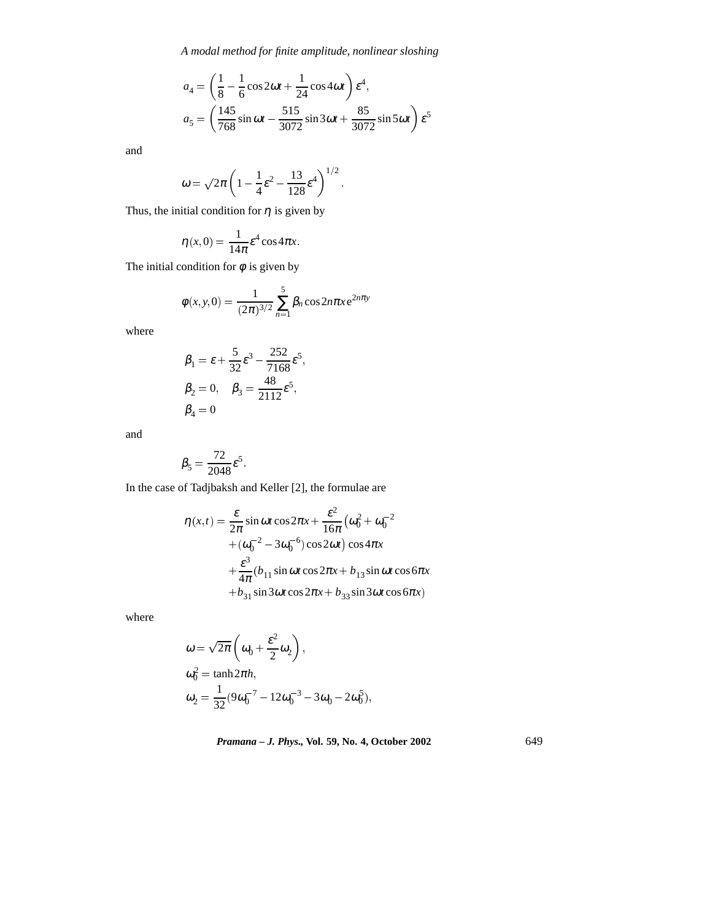*A modal method for finite amplitude, nonlinear sloshing*

$$
a_4 = \left(\frac{1}{8} - \frac{1}{6}\cos 2\omega t + \frac{1}{24}\cos 4\omega t\right)\varepsilon^4,
$$
  

$$
a_5 = \left(\frac{145}{768}\sin \omega t - \frac{515}{3072}\sin 3\omega t + \frac{85}{3072}\sin 5\omega t\right)\varepsilon^5
$$

and

$$
\omega = \sqrt{2\pi} \left( 1 - \frac{1}{4} \varepsilon^2 - \frac{13}{128} \varepsilon^4 \right)^{1/2}.
$$

Thus, the initial condition for  $\eta$  is given by

$$
\eta(x,0) = \frac{1}{14\pi} \varepsilon^4 \cos 4\pi x.
$$

The initial condition for  $\phi$  is given by

$$
\phi(x, y, 0) = \frac{1}{(2\pi)^{3/2}} \sum_{n=1}^{5} \beta_n \cos 2n\pi x e^{2n\pi y}
$$

where

$$
\beta_1 = \varepsilon + \frac{5}{32} \varepsilon^3 - \frac{252}{7168} \varepsilon^5, \n\beta_2 = 0, \quad \beta_3 = \frac{48}{2112} \varepsilon^5, \n\beta_4 = 0
$$

and

$$
\beta_5 = \frac{72}{2048} \varepsilon^5.
$$

In the case of Tadjbaksh and Keller [2], the formulae are

$$
\eta(x,t) = \frac{\varepsilon}{2\pi} \sin \omega t \cos 2\pi x + \frac{\varepsilon^2}{16\pi} (\omega_0^2 + \omega_0^{-2}
$$
  
+  $(\omega_0^{-2} - 3\omega_0^{-6}) \cos 2\omega t) \cos 4\pi x$   
+  $\frac{\varepsilon^3}{4\pi} (b_{11} \sin \omega t \cos 2\pi x + b_{13} \sin \omega t \cos 6\pi x$   
+  $b_{31} \sin 3\omega t \cos 2\pi x + b_{33} \sin 3\omega t \cos 6\pi x)$ 

where

$$
\omega = \sqrt{2\pi} \left( \omega_0 + \frac{\varepsilon^2}{2} \omega_2 \right),
$$
  
\n
$$
\omega_0^2 = \tanh 2\pi h,
$$
  
\n
$$
\omega_2 = \frac{1}{32} (9\omega_0^{-7} - 12\omega_0^{-3} - 3\omega_0 - 2\omega_0^5),
$$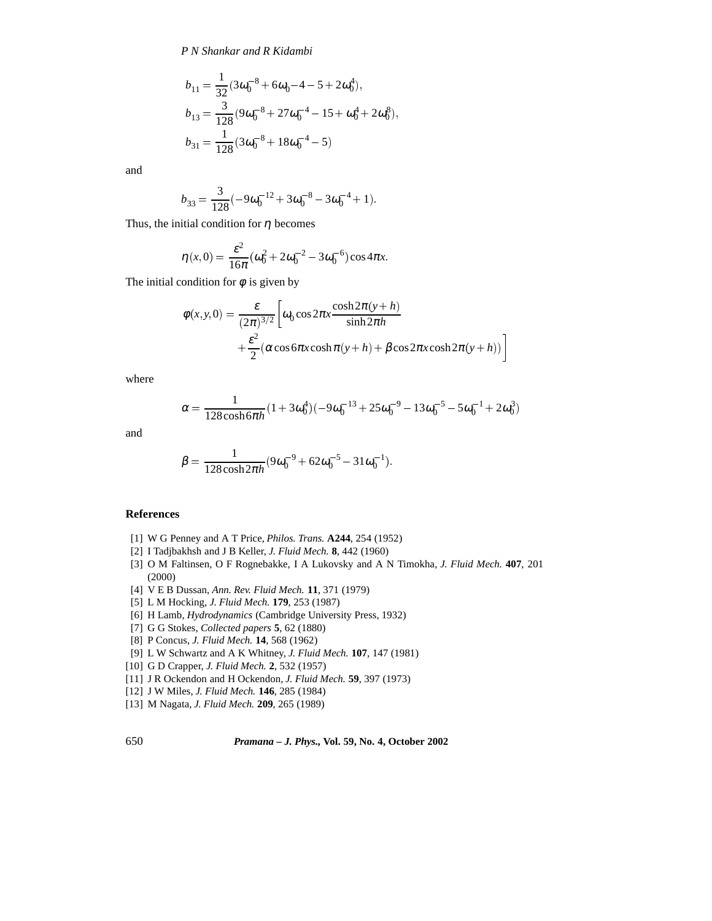$$
b_{11} = \frac{1}{32} (3\omega_0^{-8} + 6\omega_0 - 4 - 5 + 2\omega_0^4),
$$
  
\n
$$
b_{13} = \frac{3}{128} (9\omega_0^{-8} + 27\omega_0^{-4} - 15 + \omega_0^4 + 2\omega_0^8),
$$
  
\n
$$
b_{31} = \frac{1}{128} (3\omega_0^{-8} + 18\omega_0^{-4} - 5)
$$

and

$$
b_{33} = \frac{3}{128}(-9\omega_0^{-12} + 3\omega_0^{-8} - 3\omega_0^{-4} + 1).
$$

Thus, the initial condition for  $\eta$  becomes

$$
\eta(x,0) = \frac{\varepsilon^2}{16\pi} (\omega_0^2 + 2\omega_0^{-2} - 3\omega_0^{-6}) \cos 4\pi x.
$$

The initial condition for  $\phi$  is given by

$$
\phi(x, y, 0) = \frac{\varepsilon}{(2\pi)^{3/2}} \left[ \omega_0 \cos 2\pi x \frac{\cosh 2\pi (y + h)}{\sinh 2\pi h} + \frac{\varepsilon^2}{2} (\alpha \cos 6\pi x \cosh \pi (y + h) + \beta \cos 2\pi x \cosh 2\pi (y + h)) \right]
$$

where

$$
\alpha = \frac{1}{128 \cosh 6\pi h} (1 + 3\omega_0^4)(-9\omega_0^{-13} + 25\omega_0^{-9} - 13\omega_0^{-5} - 5\omega_0^{-1} + 2\omega_0^3)
$$

and

$$
\beta = \frac{1}{128 \cosh 2\pi h} (9\omega_0^{-9} + 62\omega_0^{-5} - 31\omega_0^{-1}).
$$

## **References**

- [1] W G Penney and A T Price, *Philos. Trans.* **A244**, 254 (1952)
- [2] I Tadjbakhsh and J B Keller, *J. Fluid Mech.* **8**, 442 (1960)
- [3] O M Faltinsen, O F Rognebakke, I A Lukovsky and A N Timokha, *J. Fluid Mech.* **407**, 201 (2000)
- [4] V E B Dussan, *Ann. Rev. Fluid Mech.* **11**, 371 (1979)
- [5] L M Hocking, *J. Fluid Mech.* **179**, 253 (1987)
- [6] H Lamb, *Hydrodynamics* (Cambridge University Press, 1932)
- [7] G G Stokes, *Collected papers* **5**, 62 (1880)
- [8] P Concus, *J. Fluid Mech.* **14**, 568 (1962)
- [9] L W Schwartz and A K Whitney, *J. Fluid Mech.* **107**, 147 (1981)
- [10] G D Crapper, *J. Fluid Mech.* **2**, 532 (1957)
- [11] J R Ockendon and H Ockendon, *J. Fluid Mech.* **59**, 397 (1973)
- [12] J W Miles, *J. Fluid Mech.* **146**, 285 (1984)
- [13] M Nagata, *J. Fluid Mech.* **209**, 265 (1989)